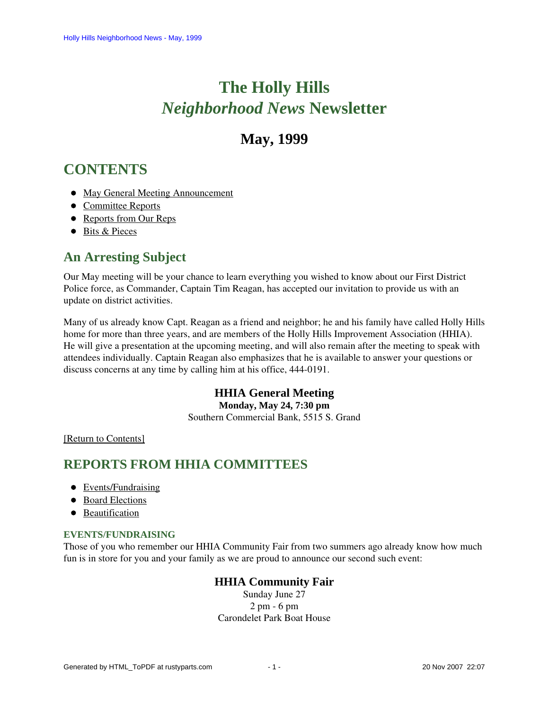# **The Holly Hills**  *Neighborhood News* **Newsletter**

# **May, 1999**

# <span id="page-0-2"></span>**CONTENTS**

- [May General Meeting Announcement](#page-0-0)
- [Committee Reports](#page-0-1)
- [Reports from Our Reps](#page-2-0)
- [Bits & Pieces](#page-2-1)

# <span id="page-0-0"></span>**An Arresting Subject**

Our May meeting will be your chance to learn everything you wished to know about our First District Police force, as Commander, Captain Tim Reagan, has accepted our invitation to provide us with an update on district activities.

Many of us already know Capt. Reagan as a friend and neighbor; he and his family have called Holly Hills home for more than three years, and are members of the Holly Hills Improvement Association (HHIA). He will give a presentation at the upcoming meeting, and will also remain after the meeting to speak with attendees individually. Captain Reagan also emphasizes that he is available to answer your questions or discuss concerns at any time by calling him at his office, 444-0191.

# **HHIA General Meeting**

**Monday, May 24, 7:30 pm** Southern Commercial Bank, 5515 S. Grand

[\[Return to Contents\]](#page-0-2)

# <span id="page-0-4"></span><span id="page-0-1"></span>**REPORTS FROM HHIA COMMITTEES**

- [Events/Fundraising](#page-0-3)
- [Board Elections](#page-1-0)
- **•** [Beautification](#page-1-1)

# <span id="page-0-3"></span>**EVENTS/FUNDRAISING**

Those of you who remember our HHIA Community Fair from two summers ago already know how much fun is in store for you and your family as we are proud to announce our second such event:

# **HHIA Community Fair**

Sunday June 27 2 pm - 6 pm Carondelet Park Boat House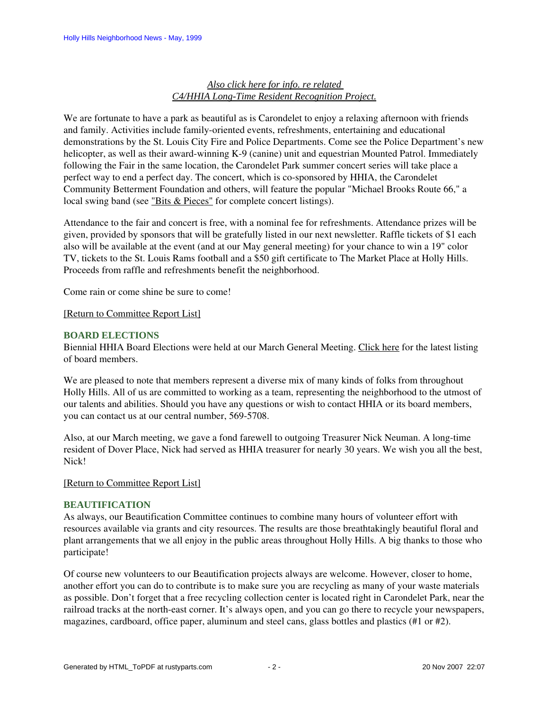# *Also click here for info. re related C4/HHIA Long-Time Resident Recognition Project.*

We are fortunate to have a park as beautiful as is Carondelet to enjoy a relaxing afternoon with friends and family. Activities include family-oriented events, refreshments, entertaining and educational demonstrations by the St. Louis City Fire and Police Departments. Come see the Police Department's new helicopter, as well as their award-winning K-9 (canine) unit and equestrian Mounted Patrol. Immediately following the Fair in the same location, the Carondelet Park summer concert series will take place a perfect way to end a perfect day. The concert, which is co-sponsored by HHIA, the Carondelet Community Betterment Foundation and others, will feature the popular "Michael Brooks Route 66," a local swing band (see ["Bits & Pieces"](#page-2-2) for complete concert listings).

Attendance to the fair and concert is free, with a nominal fee for refreshments. Attendance prizes will be given, provided by sponsors that will be gratefully listed in our next newsletter. Raffle tickets of \$1 each also will be available at the event (and at our May general meeting) for your chance to win a 19" color TV, tickets to the St. Louis Rams football and a \$50 gift certificate to The Market Place at Holly Hills. Proceeds from raffle and refreshments benefit the neighborhood.

Come rain or come shine be sure to come!

# [\[Return to Committee Report List\]](#page-0-4)

# <span id="page-1-0"></span>**BOARD ELECTIONS**

Biennial HHIA Board Elections were held at our March General Meeting. Click here for the latest listing of board members.

We are pleased to note that members represent a diverse mix of many kinds of folks from throughout Holly Hills. All of us are committed to working as a team, representing the neighborhood to the utmost of our talents and abilities. Should you have any questions or wish to contact HHIA or its board members, you can contact us at our central number, 569-5708.

Also, at our March meeting, we gave a fond farewell to outgoing Treasurer Nick Neuman. A long-time resident of Dover Place, Nick had served as HHIA treasurer for nearly 30 years. We wish you all the best, Nick!

# [\[Return to Committee Report List\]](#page-0-4)

### <span id="page-1-1"></span>**BEAUTIFICATION**

As always, our Beautification Committee continues to combine many hours of volunteer effort with resources available via grants and city resources. The results are those breathtakingly beautiful floral and plant arrangements that we all enjoy in the public areas throughout Holly Hills. A big thanks to those who participate!

Of course new volunteers to our Beautification projects always are welcome. However, closer to home, another effort you can do to contribute is to make sure you are recycling as many of your waste materials as possible. Don't forget that a free recycling collection center is located right in Carondelet Park, near the railroad tracks at the north-east corner. It's always open, and you can go there to recycle your newspapers, magazines, cardboard, office paper, aluminum and steel cans, glass bottles and plastics (#1 or #2).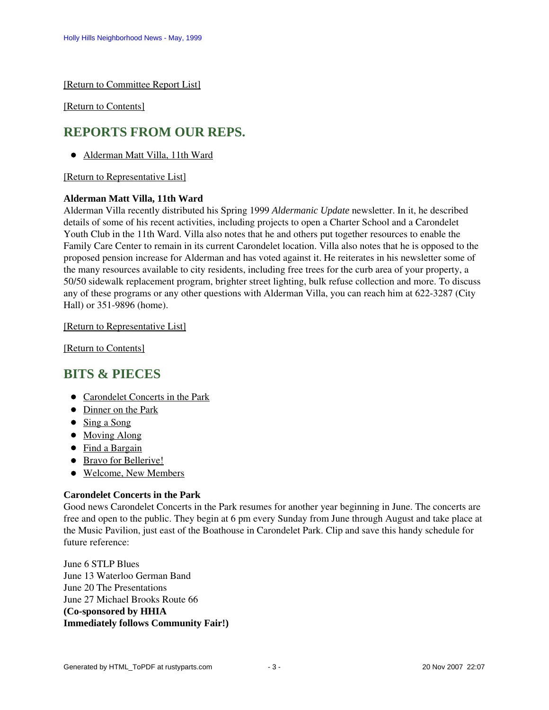[\[Return to Committee Report List\]](#page-0-4)

[\[Return to Contents\]](#page-0-2)

# <span id="page-2-4"></span><span id="page-2-0"></span>**REPORTS FROM OUR REPS.**

[Alderman Matt Villa, 11th Ward](#page-2-3)

[\[Return to Representative List\]](#page-2-4)

# <span id="page-2-3"></span>**Alderman Matt Villa, 11th Ward**

Alderman Villa recently distributed his Spring 1999 *Aldermanic Update* newsletter. In it, he described details of some of his recent activities, including projects to open a Charter School and a Carondelet Youth Club in the 11th Ward. Villa also notes that he and others put together resources to enable the Family Care Center to remain in its current Carondelet location. Villa also notes that he is opposed to the proposed pension increase for Alderman and has voted against it. He reiterates in his newsletter some of the many resources available to city residents, including free trees for the curb area of your property, a 50/50 sidewalk replacement program, brighter street lighting, bulk refuse collection and more. To discuss any of these programs or any other questions with Alderman Villa, you can reach him at 622-3287 (City Hall) or 351-9896 (home).

# [\[Return to Representative List\]](#page-2-4)

[\[Return to Contents\]](#page-0-2)

# <span id="page-2-5"></span><span id="page-2-1"></span>**BITS & PIECES**

- [Carondelet Concerts in the Park](#page-2-2)
- [Dinner on the Park](#page-3-0)
- [Sing a Song](#page-3-1)
- [Moving Along](#page-3-2)
- [Find a Bargain](#page-3-3)
- [Bravo for Bellerive!](#page-4-0)
- [Welcome, New Members](#page-4-1)

# <span id="page-2-2"></span>**Carondelet Concerts in the Park**

Good news Carondelet Concerts in the Park resumes for another year beginning in June. The concerts are free and open to the public. They begin at 6 pm every Sunday from June through August and take place at the Music Pavilion, just east of the Boathouse in Carondelet Park. Clip and save this handy schedule for future reference:

June 6 STLP Blues June 13 Waterloo German Band June 20 The Presentations June 27 Michael Brooks Route 66 **(Co-sponsored by HHIA Immediately follows Community Fair!)**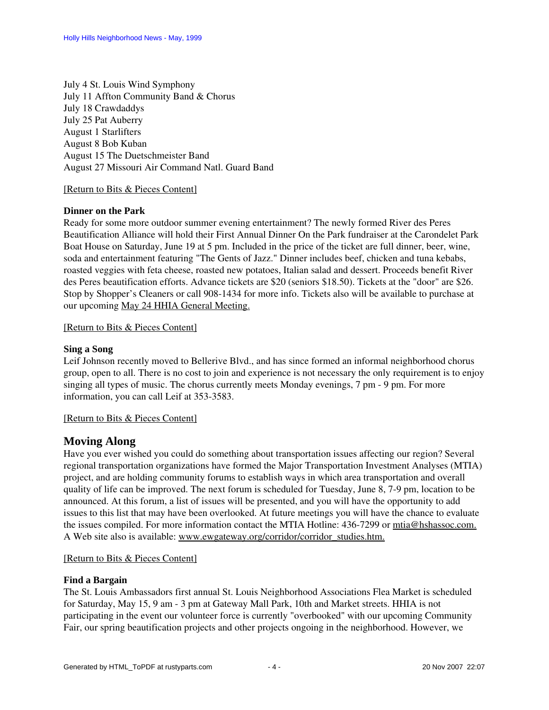July 4 St. Louis Wind Symphony July 11 Affton Community Band & Chorus July 18 Crawdaddys July 25 Pat Auberry August 1 Starlifters August 8 Bob Kuban August 15 The Duetschmeister Band August 27 Missouri Air Command Natl. Guard Band

### [\[Return to Bits & Pieces Content\]](#page-2-5)

# <span id="page-3-0"></span>**Dinner on the Park**

Ready for some more outdoor summer evening entertainment? The newly formed River des Peres Beautification Alliance will hold their First Annual Dinner On the Park fundraiser at the Carondelet Park Boat House on Saturday, June 19 at 5 pm. Included in the price of the ticket are full dinner, beer, wine, soda and entertainment featuring "The Gents of Jazz." Dinner includes beef, chicken and tuna kebabs, roasted veggies with feta cheese, roasted new potatoes, Italian salad and dessert. Proceeds benefit River des Peres beautification efforts. Advance tickets are \$20 (seniors \$18.50). Tickets at the "door" are \$26. Stop by Shopper's Cleaners or call 908-1434 for more info. Tickets also will be available to purchase at our upcoming [May 24 HHIA General Meeting.](#page-0-0)

# [\[Return to Bits & Pieces Content\]](#page-2-5)

# <span id="page-3-1"></span>**Sing a Song**

Leif Johnson recently moved to Bellerive Blvd., and has since formed an informal neighborhood chorus group, open to all. There is no cost to join and experience is not necessary the only requirement is to enjoy singing all types of music. The chorus currently meets Monday evenings, 7 pm - 9 pm. For more information, you can call Leif at 353-3583.

### [\[Return to Bits & Pieces Content\]](#page-2-5)

# <span id="page-3-2"></span>**Moving Along**

Have you ever wished you could do something about transportation issues affecting our region? Several regional transportation organizations have formed the Major Transportation Investment Analyses (MTIA) project, and are holding community forums to establish ways in which area transportation and overall quality of life can be improved. The next forum is scheduled for Tuesday, June 8, 7-9 pm, location to be announced. At this forum, a list of issues will be presented, and you will have the opportunity to add issues to this list that may have been overlooked. At future meetings you will have the chance to evaluate the issues compiled. For more information contact the MTIA Hotline: 436-7299 or mtia@hshassoc.com. A Web site also is available: [www.ewgateway.org/corridor/corridor\\_studies.htm.](http://www.ewgateway.org/corridor/corridor_studies.htm)

### [\[Return to Bits & Pieces Content\]](#page-2-5)

### <span id="page-3-3"></span>**Find a Bargain**

The St. Louis Ambassadors first annual St. Louis Neighborhood Associations Flea Market is scheduled for Saturday, May 15, 9 am - 3 pm at Gateway Mall Park, 10th and Market streets. HHIA is not participating in the event our volunteer force is currently "overbooked" with our upcoming Community Fair, our spring beautification projects and other projects ongoing in the neighborhood. However, we